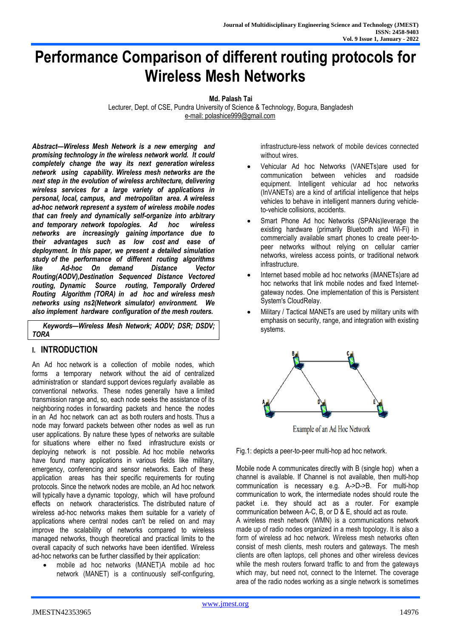# **Performance Comparison of different routing protocols for Wireless Mesh Networks**

**Md. Palash Tai**

Lecturer, Dept. of CSE, Pundra University of Science & Technology, Bogura, Bangladesh [e-mail: polashice999@gmail.com](mailto:e-mail:%20polashice999@gmail.com)

*Abstract—Wireless Mesh Network is a new emerging and promising technology in the wireless network world. It could completely change the way its next generation wireless network using capability. Wireless mesh networks are the next step in the evolution of wireless architecture, delivering wireless services for a large variety of applications in personal, local, campus, and metropolitan area. A wireless ad-hoc network represent a system of wireless mobile nodes that can freely and dynamically self-organize into arbitrary and temporary network topologies. Ad hoc wireless networks are increasingly gaining importance due to their advantages such as low cost and ease of deployment. In this paper, we present a detailed simulation study of the performance of different routing algorithms like Ad-hoc On demand Distance Vector Routing(AODV),Destination Sequenced Distance Vectored routing, Dynamic Source routing, Temporally Ordered Routing Algorithm (TORA) in ad hoc and wireless mesh networks using ns2(Network simulator) environment. We also implement hardware configuration of the mesh routers.*

*Keywords—Wireless Mesh Network; AODV; DSR; DSDV; TORA*

# **I. INTRODUCTION**

An Ad hoc network is a collection of mobile nodes, which forms a temporary network without the aid of centralized administration or standard support devices regularly available as conventional networks. These nodes generally have a limited transmission range and, so, each node seeks the assistance of its neighboring nodes in forwarding packets and hence the nodes in an Ad hoc network can act as both routers and hosts. Thus a node may forward packets between other nodes as well as run user applications. By nature these types of networks are suitable for situations where either no fixed infrastructure exists or deploying network is not possible. Ad hoc mobile networks have found many applications in various fields like military, emergency, conferencing and sensor networks. Each of these application areas has their specific requirements for routing protocols. Since the network nodes are mobile, an Ad hoc network will typically have a dynamic topology, which will have profound effects on network characteristics. The distributed nature of wireless ad-hoc networks makes them suitable for a variety of applications where central nodes can't be relied on and may improve the scalability of networks compared to wireless managed networks, though theoretical and practical limits to the overall capacity of such networks have been identified. Wireless ad-hoc networks can be further classified by their application:

 mobile ad hoc networks (MANET)A mobile ad hoc network (MANET) is a continuously self-configuring, infrastructure-less network of mobile devices connected without wires.

- Vehicular Ad hoc Networks (VANETs)are used for communication between vehicles and roadside equipment. Intelligent vehicular ad hoc networks (InVANETs) are a kind of artificial intelligence that helps vehicles to behave in intelligent manners during vehicleto-vehicle collisions, accidents.
- Smart Phone Ad hoc Networks (SPANs)leverage the existing hardware (primarily Bluetooth and Wi-Fi) in commercially available smart phones to create peer-topeer networks without relying on cellular carrier networks, wireless access points, or traditional network infrastructure.
- Internet based mobile ad hoc networks (iMANETs)are ad hoc networks that link mobile nodes and fixed Internetgateway nodes. One implementation of this is Persistent System's CloudRelay.
- Military / Tactical MANETs are used by military units with emphasis on security, range, and integration with existing systems.



Example of an Ad Hoc Network

Fig.1: depicts a peer-to-peer multi-hop ad hoc network.

Mobile node A communicates directly with B (single hop) when a channel is available. If Channel is not available, then multi-hop communication is necessary e.g. A->D->B. For multi-hop communication to work, the intermediate nodes should route the packet i.e. they should act as a router. For example communication between A-C, B, or D & E, should act as route.

A wireless mesh network (WMN) is a [communications network](https://en.wikipedia.org/wiki/Telecommunications_network) made up of [radio](https://en.wikipedia.org/wiki/Radio) [nodes](https://en.wikipedia.org/wiki/Node_%28networking%29) organized in a [mesh](https://en.wikipedia.org/wiki/Mesh_networking) [topology.](https://en.wikipedia.org/wiki/Network_topology) It is also a form of [wireless ad hoc network.](https://en.wikipedia.org/wiki/Wireless_ad_hoc_network) Wireless mesh networks often consist of mesh clients, mesh routers and gateways. The mesh clients are often laptops, cell phones and other wireless devices while the mesh routers forward traffic to and from the gateways which may, but need not, connect to the Internet. The coverage area of the radio nodes working as a single network is sometimes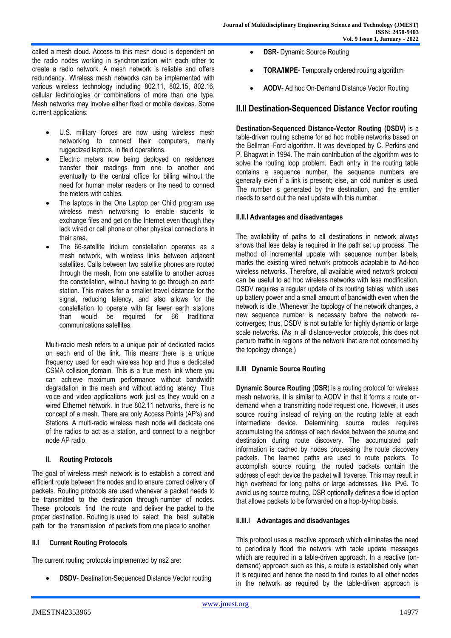called a mesh cloud. Access to this mesh cloud is dependent on the radio nodes working in synchronization with each other to create a radio network. A mesh network is reliable and offers redundancy. Wireless mesh networks can be implemented with various wireless technology including [802.11,](https://en.wikipedia.org/wiki/802.11s) [802.15,](https://en.wikipedia.org/wiki/802.15) [802.16,](https://en.wikipedia.org/wiki/802.16) cellular technologies or combinations of more than one type. Mesh networks may involve either fixed or mobile devices. Some current applications:

- U.S. military forces are now using wireless [mesh](https://en.wikipedia.org/wiki/Mesh_networking)  [networking](https://en.wikipedia.org/wiki/Mesh_networking) to connect their computers, mainly ruggedized laptops, in field operations.
- Electric meters now being deployed on residences transfer their readings from one to another and eventually to the central office for billing without the need for human meter readers or the need to connect the meters with cables.
- The laptops in the [One Laptop per Child](https://en.wikipedia.org/wiki/One_Laptop_per_Child) program use wireless mesh networking to enable students to exchange files and get on the Internet even though they lack wired or cell phone or other physical connections in their area.
- The 66-satellite [Iridium constellation](https://en.wikipedia.org/wiki/Iridium_satellite_constellation) operates as a mesh network, with wireless links between adjacent satellites. Calls between two satellite phones are routed through the mesh, from one satellite to another across the constellation, without having to go through an [earth](https://en.wikipedia.org/wiki/Earth_station)  [station.](https://en.wikipedia.org/wiki/Earth_station) This makes for a smaller travel distance for the signal, reducing latency, and also allows for the constellation to operate with far fewer earth stations than would be required for 66 traditional communications satellites.

Multi-radio mesh refers to a unique pair of dedicated radios on each end of the link. This means there is a unique frequency used for each wireless hop and thus a dedicated [CSMA](https://en.wikipedia.org/wiki/Carrier_sense_multiple_access) [collision](https://en.wikipedia.org/wiki/Collision_domain) domain. This is a true mesh link where you can achieve maximum performance without bandwidth degradation in the mesh and without adding latency. Thus voice and video applications work just as they would on a wired Ethernet network. In true 802.11 networks, there is no concept of a mesh. There are only Access Points (AP's) and Stations. A multi-radio wireless mesh node will dedicate one of the radios to act as a station, and connect to a neighbor node AP radio.

### **II. Routing Protocols**

The goal of wireless mesh network is to establish a correct and efficient route between the nodes and to ensure correct delivery of packets. Routing protocols are used whenever a packet needs to be transmitted to the destination through number of nodes. These protocols find the route and deliver the packet to the proper destination. Routing is used to select the best suitable path for the transmission of packets from one place to another

#### **II.I Current Routing Protocols**

The current routing protocols implemented by ns2 are:

**DSDV**- Destination-Sequenced Distance Vector routing

- **DSR** Dynamic Source Routing
- **TORA/IMPE** Temporally ordered routing algorithm
- **AODV** Ad hoc On-Demand Distance Vector Routing

## **II.II Destination-Sequenced Distance Vector routing**

**Destination-Sequenced Distance-Vector Routing (DSDV)** is a table-driven routing scheme fo[r ad hoc mobile networks](https://en.wikipedia.org/wiki/Mobile_ad_hoc_network) based on the Bellman–[Ford algorithm.](https://en.wikipedia.org/wiki/Bellman%E2%80%93Ford_algorithm) It was developed by C. Perkins and P. Bhagwat in 1994. The main contribution of the algorithm was to solve the [routing loop problem.](https://en.wikipedia.org/wiki/Routing_loop_problem) Each entry in the routing table contains a sequence number, the sequence numbers are generally even if a link is present; else, an odd number is used. The number is generated by the destination, and the emitter needs to send out the next update with this number.

#### **II.II.I Advantages and disadvantages**

The availability of paths to all destinations in network always shows that less delay is required in the path set up process. The method of incremental update with sequence number labels, marks the existing wired network protocols adaptable to Ad-hoc wireless networks. Therefore, all available wired network protocol can be useful to ad hoc wireless networks with less modification. DSDV requires a regular update of its routing tables, which uses up battery power and a small amount of bandwidth even when the network is idle. Whenever the topology of the network changes, a new sequence number is necessary before the network reconverges; thus, DSDV is not suitable for highly dynamic or large scale networks. (As in all distance-vector protocols, this does not perturb traffic in regions of the network that are not concerned by the topology change.)

### **II.III Dynamic Source Routing**

**Dynamic Source Routing** (**DSR**) is [a routing](https://en.wikipedia.org/wiki/Routing) [protocol](https://en.wikipedia.org/wiki/Communications_protocol) for [wireless](https://en.wikipedia.org/wiki/Wireless_mesh_network)  [mesh networks.](https://en.wikipedia.org/wiki/Wireless_mesh_network) It is similar to [AODV](https://en.wikipedia.org/wiki/AODV) in that it forms a route ondemand when a transmitting node request one. However, it uses [source routing](https://en.wikipedia.org/wiki/Source_routing) instead of relying on the routing table at each intermediate device. Determining source routes requires accumulating the address of each device between the source and destination during route discovery. The accumulated path information is [cached](https://en.wikipedia.org/wiki/Cache_%28computing%29) by nodes processing the route discovery [packets.](https://en.wikipedia.org/wiki/Packet_%28information_technology%29) The learned paths are used to route packets. To accomplish source routing, the routed packets contain the address of each device the packet will traverse. This may result in high overhead for long paths or large addresses, like [IPv6.](https://en.wikipedia.org/wiki/IPv6) To avoid using source routing, DSR optionally defines a flow id option that allows packets to be forwarded on a hop-by-hop basis.

#### **II.III.I Advantages and disadvantages**

This protocol uses a reactive approach which eliminates the need to periodically flood the network with table update messages which are required in a table-driven approach. In a reactive (ondemand) approach such as this, a route is established only when it is required and hence the need to find routes to all other nodes in the network as required by the table-driven approach is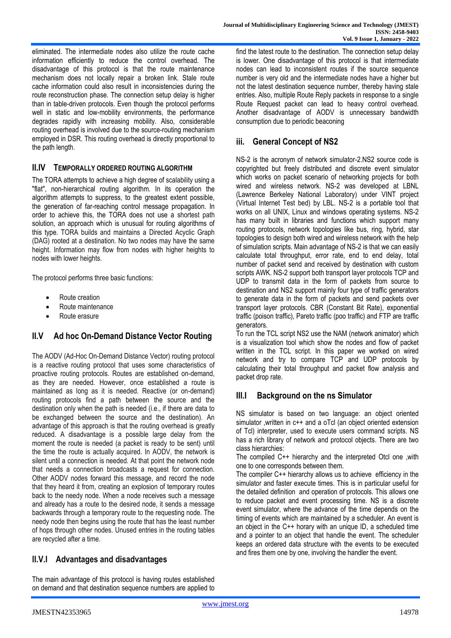eliminated. The intermediate nodes also utilize the route cache information efficiently to reduce the control overhead. The disadvantage of this protocol is that the route maintenance mechanism does not locally repair a broken link. Stale route cache information could also result in inconsistencies during the route reconstruction phase. The connection setup delay is higher than in table-driven protocols. Even though the protocol performs well in static and low-mobility environments, the performance degrades rapidly with increasing mobility. Also, considerable routing overhead is involved due to the source-routing mechanism employed in DSR. This routing overhead is directly proportional to the path length.

## **II.IV TEMPORALLY ORDERED ROUTING ALGORITHM**

The TORA attempts to achieve a high degree of [scalability](https://en.wikipedia.org/wiki/Scalability) using a "flat", non-hierarchical routing algorithm. In its operation the algorithm attempts to suppress, to the greatest extent possible, the generation of far-reaching control message propagation. In order to achieve this, the TORA does not use a [shortest path](https://en.wikipedia.org/wiki/Shortest_path_problem) solution, an approach which is unusual for routing algorithms of this type. TORA builds and maintains a [Directed Acyclic Graph](https://en.wikipedia.org/wiki/Directed_acyclic_graph) (DAG) rooted at a destination. No two nodes may have the same height. [Information](https://en.wikipedia.org/wiki/Information) may flow from nodes with higher heights to nodes with lower heights.

The protocol performs three basic functions:

- Route creation
- Route maintenance
- Route erasure

# **II.V Ad hoc On-Demand Distance Vector Routing**

The AODV (Ad-Hoc On-Demand Distance Vector) routing protocol is a reactive routing protocol that uses some characteristics of proactive routing protocols. Routes are established on-demand, as they are needed. However, once established a route is maintained as long as it is needed. Reactive (or on-demand) routing protocols find a path between the source and the destination only when the path is needed (i.e., if there are data to be exchanged between the source and the destination). An advantage of this approach is that the routing overhead is greatly reduced. A disadvantage is a possible large delay from the moment the route is needed (a packet is ready to be sent) until the time the route is actually acquired. In AODV, the [network](https://en.wikipedia.org/wiki/Computer_network) is silent until a connection is needed. At that point the network node that needs a connection [broadcasts](https://en.wikipedia.org/wiki/Broadcasting_%28computing%29) a request for connection. Other AODV nodes forward this message, and record the node that they heard it from, creating an explosion of temporary routes back to the needy node. When a node receives such a message and already has a route to the desired node, it sends a message backwards through a temporary route to the requesting node. The needy node then begins using the route that has the least number of hops through other nodes. Unused entries in the [routing tables](https://en.wikipedia.org/wiki/Routing_table) are recycled after a time.

## **II.V.I Advantages and disadvantages**

The main advantage of this protocol is having routes established on demand and that destination sequence numbers are applied to find the latest route to the destination. The connection setup delay is lower. One disadvantage of this protocol is that intermediate nodes can lead to inconsistent routes if the source sequence number is very old and the intermediate nodes have a higher but not the latest destination sequence number, thereby having stale entries. Also, multiple Route Reply packets in response to a single Route Request packet can lead to heavy control overhead. Another disadvantage of AODV is unnecessary bandwidth consumption due to periodic beaconing

# **iii. General Concept of NS2**

NS-2 is the acronym of network simulator-2.NS2 source code is copyrighted but freely distributed and discrete event simulator which works on packet scenario of networking projects for both wired and wireless network. NS-2 was developed at LBNL (Lawrence Berkeley National Laboratory) under VINT project (Virtual Internet Test bed) by LBL. NS-2 is a portable tool that works on all UNIX, Linux and windows operating systems. NS-2 has many built in libraries and functions which support many routing protocols, network topologies like bus, ring, hybrid, star topologies to design both wired and wireless network with the help of simulation scripts. Main advantage of NS-2 is that we can easily calculate total throughput, error rate, end to end delay, total number of packet send and received by destination with custom scripts AWK. NS-2 support both transport layer protocols TCP and UDP to transmit data in the form of packets from source to destination and NS2 support mainly four type of traffic generators to generate data in the form of packets and send packets over transport layer protocols. CBR (Constant Bit Rate), exponential traffic (poison traffic), Pareto traffic (poo traffic) and FTP are traffic generators.

To run the TCL script NS2 use the NAM (network animator) which is a visualization tool which show the nodes and flow of packet written in the TCL script. In this paper we worked on wired network and try to compare TCP and UDP protocols by calculating their total throughput and packet flow analysis and packet drop rate.

# **III.I Background on the ns Simulator**

NS simulator is based on two language: an object oriented simulator, written in c++ and a oTcl (an object oriented extension of Tcl) interpreter, used to execute users command scripts. NS has a rich library of network and protocol objects. There are two class hierarchies:

The compiled C++ hierarchy and the interpreted Otcl one ,with one to one corresponds between them.

The compiler C++ hierarchy allows us to achieve efficiency in the simulator and faster execute times. This is in particular useful for the detailed definition and operation of protocols. This allows one to reduce packet and event processing time. NS is a discrete event simulator, where the advance of the time depends on the timing of events which are maintained by a scheduler. An event is an object in the C++ horary with an unique ID, a scheduled time and a pointer to an object that handle the event. The scheduler keeps an ordered data structure with the events to be executed and fires them one by one, involving the handler the event.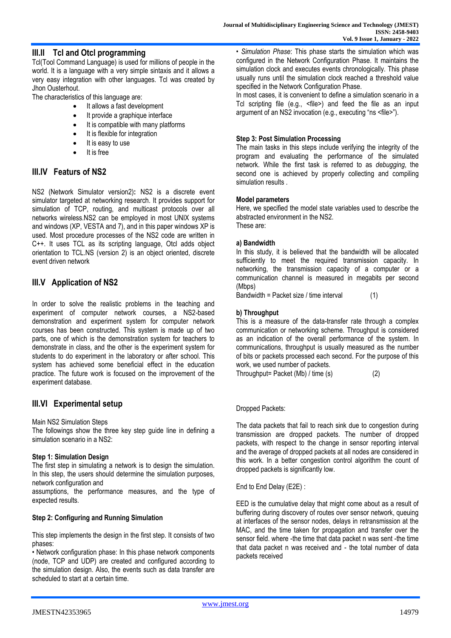## **III.II Tcl and Otcl programming**

Tcl(Tool Command Language) is used for millions of people in the world. It is a language with a very simple sintaxis and it allows a very easy integration with other languages. Tcl was created by Jhon Ousterhout.

The characteristics of this language are:

- It allows a fast development
- It provide a graphique interface
- It is compatible with many platforms
- It is flexible for integration
- It is easy to use
- It is free

## **III.IV Featurs of NS2**

NS2 (Network Simulator version2)**:** NS2 is a discrete event simulator targeted at networking research. It provides support for simulation of TCP, routing, and multicast protocols over all networks wireless.NS2 can be employed in most UNIX systems and windows (XP, VESTA and 7), and in this paper windows XP is used. Most procedure processes of the NS2 code are written in C++. It uses TCL as its scripting language, Otcl adds object orientation to TCL.NS (version 2) is an object oriented, discrete event driven network

# **III.V Application of NS2**

In order to solve the realistic problems in the teaching and experiment of computer network courses, a NS2-based demonstration and experiment system for computer network courses has been constructed. This system is made up of two parts, one of which is the demonstration system for teachers to demonstrate in class, and the other is the experiment system for students to do experiment in the laboratory or after school. This system has achieved some beneficial effect in the education practice. The future work is focused on the improvement of the experiment database.

## **III.VI Experimental setup**

Main NS2 Simulation Steps

The followings show the three key step guide line in defining a simulation scenario in a NS2:

### **Step 1: Simulation Design**

The first step in simulating a network is to design the simulation. In this step, the users should determine the simulation purposes, network configuration and

assumptions, the performance measures, and the type of expected results.

### **Step 2: Configuring and Running Simulation**

This step implements the design in the first step. It consists of two phases:

*•* Network configuration phase: In this phase network components (node, TCP and UDP) are created and configured according to the simulation design. Also, the events such as data transfer are scheduled to start at a certain time.

*• Simulation Phase*: This phase starts the simulation which was configured in the Network Configuration Phase. It maintains the simulation clock and executes events chronologically. This phase usually runs until the simulation clock reached a threshold value specified in the Network Configuration Phase.

In most cases, it is convenient to define a simulation scenario in a Tcl scripting file (e.g., <file>) and feed the file as an input argument of an NS2 invocation (e.g., executing "ns <file>").

#### **Step 3: Post Simulation Processing**

The main tasks in this steps include verifying the integrity of the program and evaluating the performance of the simulated network. While the first task is referred to as *debugging*, the second one is achieved by properly collecting and compiling simulation results

#### **Model parameters**

Here, we specified the model state variables used to describe the abstracted environment in the NS2. These are:

#### **a) Bandwidth**

In this study, it is believed that the bandwidth will be allocated sufficiently to meet the required transmission capacity. In networking, the transmission capacity of a computer or a communication channel is measured in megabits per second (Mbps)

Bandwidth = Packet size / time interval (1)

### **b) Throughput**

This is a measure of the data-transfer rate through a complex communication or networking scheme. Throughput is considered as an indication of the overall performance of the system. In communications, throughput is usually measured as the number of bits or packets processed each second. For the purpose of this work, we used number of packets.

Throughput= Packet (Mb) / time (s) (2)

#### Dropped Packets:

The data packets that fail to reach sink due to congestion during transmission are dropped packets. The number of dropped packets, with respect to the change in sensor reporting interval and the average of dropped packets at all nodes are considered in this work. In a better congestion control algorithm the count of dropped packets is significantly low.

End to End Delay (E2E) :

EED is the cumulative delay that might come about as a result of buffering during discovery of routes over sensor network, queuing at interfaces of the sensor nodes, delays in retransmission at the MAC, and the time taken for propagation and transfer over the sensor field. where -the time that data packet n was sent -the time that data packet n was received and - the total number of data packets received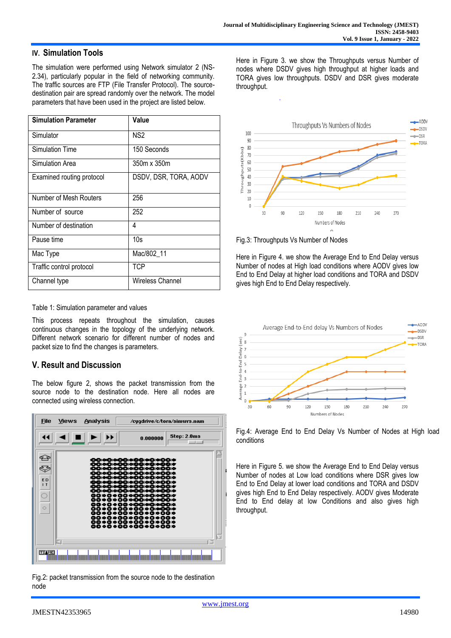## **IV. Simulation Tools**

The simulation were performed using Network simulator 2 (NS-2.34), particularly popular in the field of networking community. The traffic sources are FTP (File Transfer Protocol). The sourcedestination pair are spread randomly over the network. The model parameters that have been used in the project are listed below.

| <b>Simulation Parameter</b> | Value                 |
|-----------------------------|-----------------------|
| Simulator                   | NS <sub>2</sub>       |
| Simulation Time             | 150 Seconds           |
| Simulation Area             | 350m x 350m           |
| Examined routing protocol   | DSDV, DSR, TORA, AODV |
| Number of Mesh Routers      | 256                   |
| Number of source            | 252                   |
| Number of destination       | 4                     |
| Pause time                  | 10 <sub>s</sub>       |
| Mac Type                    | Mac/802 11            |
| Traffic control protocol    | TCP                   |
| Channel type                | Wireless Channel      |

Table 1: Simulation parameter and values

This process repeats throughout the simulation, causes continuous changes in the topology of the underlying network. Different network scenario for different number of nodes and packet size to find the changes is parameters.

## **V. Result and Discussion**

The below figure 2, shows the packet transmission from the source node to the destination node. Here all nodes are connected using wireless connection.

| <b>File</b>                                    | Views<br><b>Analysis</b><br>/cygdrive/c/tora/simwrs.nam                                                                                                                                                                                                                                                                                                                                                                                                            |
|------------------------------------------------|--------------------------------------------------------------------------------------------------------------------------------------------------------------------------------------------------------------------------------------------------------------------------------------------------------------------------------------------------------------------------------------------------------------------------------------------------------------------|
|                                                | Step: 2.0ms<br>0.000000                                                                                                                                                                                                                                                                                                                                                                                                                                            |
| 千文<br>₹<br>ED.<br>$\mathsf{I}$<br>∩<br>$\circ$ | ට ටා පැවැතිවෙන පැවැති වැනි වැනි බල<br><b>ਗ਼ਗ਼੶ਗ਼ਗ਼੶ਗ਼ਗ਼ਗ਼੶ਗ਼ਗ਼ਗ਼ਲ਼ਲ਼ਲ਼ਲ਼ਲ਼ਲ਼ਲ਼</b><br><b>௳௳௳௳ஂ௳௳௳௳ஂஂஂஂஂஂஂஂஂஂஂஂஂஂஂஂஂஂ</b><br><b>මඩා සමා සම්බාගමණ සමාන්තරයෙ</b><br><b>000000000000000000000</b><br>OCHOLOKHOLOKHOHOHOHOHOHOHO<br>80 D G (<br>на о <i>ректоре</i> то<br>. 0 0 0 0 0 0 0 0 0 0 0 0 0 0<br>er F<br>88000:00:000:0<br>aa oa<br>, QQ ⊅ QQ ⊅ Q∷‡©©∷‡<br>GΟ.<br>эO.<br><b>@@#@#@@#@#@#@@#</b><br>◎◎⊅◎→◎◎⊅◎◎◆◎◆◎◎◆<br>©©\$0\$0@\$0Q\$0\$0@\$<br>V<br>ſБ<br>a |
| TIME                                           |                                                                                                                                                                                                                                                                                                                                                                                                                                                                    |

Fig.2: packet transmission from the source node to the destination node

Here in Figure 3. we show the Throughputs versus Number of nodes where DSDV gives high throughput at higher loads and TORA gives low throughputs. DSDV and DSR gives moderate throughput.



Fig.3: Throughputs Vs Number of Nodes

Here in Figure 4. we show the Average End to End Delay versus Number of nodes at High load conditions where AODV gives low End to End Delay at higher load conditions and TORA and DSDV gives high End to End Delay respectively.



Fig.4: Average End to End Delay Vs Number of Nodes at High load conditions

Here in Figure 5. we show the Average End to End Delay versus Number of nodes at Low load conditions where DSR gives low End to End Delay at lower load conditions and TORA and DSDV gives high End to End Delay respectively. AODV gives Moderate End to End delay at low Conditions and also gives high throughput.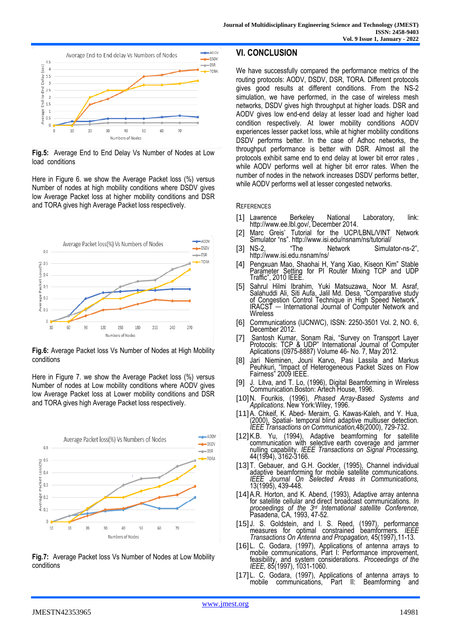

**Fig.5:** Average End to End Delay Vs Number of Nodes at Low load conditions

Here in Figure 6. we show the Average Packet loss (%) versus Number of nodes at high mobility conditions where DSDV gives low Average Packet loss at higher mobility conditions and DSR and TORA gives high Average Packet loss respectively.



**Fig.6:** Average Packet loss Vs Number of Nodes at High Mobility conditions

Here in Figure 7. we show the Average Packet loss (%) versus Number of nodes at Low mobility conditions where AODV gives low Average Packet loss at Lower mobility conditions and DSR and TORA gives high Average Packet loss respectively.



**Fig.7:** Average Packet loss Vs Number of Nodes at Low Mobility conditions

## **VI. CONCLUSION**

We have successfully compared the performance metrics of the routing protocols: AODV, DSDV, DSR, TORA. Different protocols gives good results at different conditions. From the NS-2 simulation, we have performed, in the case of wireless mesh networks, DSDV gives high throughput at higher loads. DSR and AODV gives low end-end delay at lesser load and higher load condition respectively. At lower mobility conditions AODV experiences lesser packet loss, while at higher mobility conditions DSDV performs better. In the case of Adhoc networks, the throughput performance is better with DSR. Almost all the protocols exhibit same end to end delay at lower bit error rates , while AODV performs well at higher bit error rates. When the number of nodes in the network increases DSDV performs better, while AODV performs well at lesser congested networks.

#### **REFERENCES**

- [1] Lawrence Berkeley National Laboratory, link: http://www.ee.lbl.gov/, December 2014.
- [2] Marc Greis' Tutorial for the UCP/LBNL/VINT Network Simulator "ns". http://www.isi.edu/nsnam/ns/tutorial/
- [3] NS-2, "The Network Simulator-ns-2", http://www.isi.edu.nsnam/ns/
- [4] Pengxuan Mao, Shaohai H, Yang Xiao, Kiseon Kim" Stable Parameter Setting for PI Router Mixing TCP and UDP Traffic", 2010 IEEE.
- [5] Sahrul Hilmi Ibrahim, Yuki Matsuzawa, Noor M. Asraf, Salahuddi Ali, Siti Aufa, Jalil Md. Desa, "Comparative study of Congestion Control Technique in High Speed Network", IRACST ─ International Journal of Computer Network and Wireless
- [6] Communications (IJCNWC), ISSN: 2250-3501 Vol. 2, NO. 6, December 2012.
- [7] Santosh Kumar, Sonam Rai, "Survey on Transport Layer Protocols: TCP & UDP" International Journal of Computer Aplications (0975-8887) Volume 46- No. 7, May 2012.
- [8] Jari Nieminen, Jouni Karvo, Pasi Lassila and Markus Peuhkuri, "Impact of Heterogeneous Packet Sizes on Flow Fairness" 2009 IEEE.
- [9] J. Litva, and T. Lo, (1996), Digital Beamforming in Wireless Communication.Boston: Artech House, 1996.
- [10]N. Fourikis, (1996), *Phased Array-Based Systems and Applications*. New York:Wiley, 1996.
- [11]A. Chkeif, K. Abed- Meraim, G. Kawas-Kaleh, and Y. Hua, (2000), Spatial- temporal blind adaptive multiuser detection*. IEEE Transactions on Communication,*48(2000), 729-732.
- [12]K.B. Yu, (1994), Adaptive beamforming for satellite communication with selective earth coverage and jammer nulling capability*. IEEE Transactions on Signal Processing,* 44(1994), 3162-3166.
- [13] T. Gebauer, and G.H. Gockler, (1995), Channel individual adaptive beamforming for mobile satellite communications. *IEEE Journal On Selected Areas in Communications,* 13(1995), 439-448.
- [14] A.R. Horton, and K. Abend, (1993), Adaptive array antenna for satellite cellular and direct broadcast communications. *In proceedings of the 3rd International satellite Conference,* Pasadena, CA, 1993, 47-52.
- [15] J. S. Goldstein, and I. S. Reed, (1997), performance measures for optimal constrained beamformers*. IEEE Transactions On Antenna and Propagation,* 45(1997),11-13.
- [16] L. C. Godara, (1997), Applications of antenna arrays to mobile communications, Part I: Performance improvement, feasibility, and system considerations. *Proceedings of the IEEE,* 85(1997), 1031-1060.
- [17] L. C. Godara, (1997), Applications of antenna arrays to mobile communications, Part II: Beamforming and mobile communications,